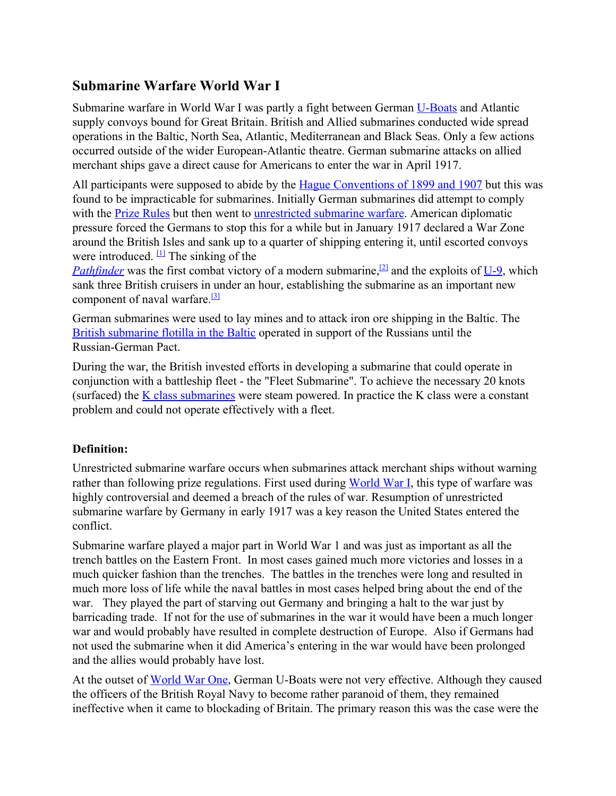## **Submarine Warfare World War I**

Submarine warfare in World War I was partly a fight between German U-Boats and Atlantic supply convoys bound for Great Britain. British and Allied submarines conducted wide spread operations in the Baltic, North Sea, Atlantic, Mediterranean and Black Seas. Only a few actions occurred outside of the wider European-Atlantic theatre. German submarine attacks on allied merchant ships gave a direct cause for Americans to enter the war in April 1917.

All participants were supposed to abide by the Hague Conventions of 1899 and 1907 but this was found to be impracticable for submarines. Initially German submarines did attempt to comply with the Prize [Rules](http://www.google.com/url?q=http%3A%2F%2Frules&sa=D&sntz=1&usg=AFQjCNGtl5rJNbv08quihBBoM2b6-6TALw) but then went to [unrestricted](http://www.google.com/url?q=http%3A%2F%2Fwarfare&sa=D&sntz=1&usg=AFQjCNGxRglBfU7r_0x8AyudHh-Z0UHZSg) submarine warfare. American diplomatic pressure forced the Germans to stop this for a while but in January 1917 declared a War Zone around the British Isles and sank up to a quarter of shipping entering it, until escorted convoys were introduced.  $\Box$  The sinking of the

*Pathfinder* was the first combat victory of a modern submarine,<sup>[\[2\]](http://www.google.com/url?q=http%3A%2F%2Fen.wikipedia.org%2Fwiki%2FSubmarine_warfare%23cite_note-1&sa=D&sntz=1&usg=AFQjCNH6UOuI8Ni0VPxtMc91umyOuw4aAg)</sup> and the exploits of  $\underline{U-9}$ , which sank three British cruisers in under an hour, establishing the submarine as an important new component of naval warfare.<sup>[\[3\]](http://www.google.com/url?q=http%3A%2F%2Fen.wikipedia.org%2Fwiki%2FSubmarine_warfare%23cite_note-2&sa=D&sntz=1&usg=AFQjCNGXDhaP6rM74N0C4QyM9b8HEpT6PQ)</sup>

German submarines were used to lay mines and to attack iron ore shipping in the Baltic. The British [submarine](http://www.google.com/url?q=http%3A%2F%2Fbaltic&sa=D&sntz=1&usg=AFQjCNHF-NaUIincX6bqR0mBt39qCw0i0A) flotilla in the Baltic operated in support of the Russians until the Russian-German Pact.

During the war, the British invested efforts in developing a submarine that could operate in conjunction with a battleship fleet - the "Fleet Submarine". To achieve the necessary 20 knots (surfaced) the  $K$  class [submarines](http://www.google.com/url?q=http%3A%2F%2Fsubmarine&sa=D&sntz=1&usg=AFQjCNFljxsI-b8YyKXVGkfFczOQgK3WOA) were steam powered. In practice the  $K$  class were a constant problem and could not operate effectively with a fleet.

## **Definition:**

Unrestricted submarine warfare occurs when submarines attack merchant ships without warning rather than following prize regulations. First used during [World](http://www.google.com/url?q=http%3A%2F%2Fmilitaryhistory.about.com%2Fod%2Fworldwari%2Ftp%2Fwwi101.htm&sa=D&sntz=1&usg=AFQjCNF7cZQt3l42zqowOIE1lB1E0pR4HA) War I, this type of warfare was highly controversial and deemed a breach of the rules of war. Resumption of unrestricted submarine warfare by Germany in early 1917 was a key reason the United States entered the conflict.

Submarine warfare played a major part in World War 1 and was just as important as all the trench battles on the Eastern Front. In most cases gained much more victories and losses in a much quicker fashion than the trenches. The battles in the trenches were long and resulted in much more loss of life while the naval battles in most cases helped bring about the end of the war. They played the part of starving out Germany and bringing a halt to the war just by barricading trade. If not for the use of submarines in the war it would have been a much longer war and would probably have resulted in complete destruction of Europe. Also if Germans had not used the submarine when it did America's entering in the war would have been prolonged and the allies would probably have lost.

At the outset of [World](http://www.google.com/url?q=http%3A%2F%2Fone&sa=D&sntz=1&usg=AFQjCNFm5ABsFVI1piUCZ4mxaXQ5NwPUkg) War One, German U-Boats were not very effective. Although they caused the officers of the British Royal Navy to become rather paranoid of them, they remained ineffective when it came to blockading of Britain. The primary reason this was the case were the